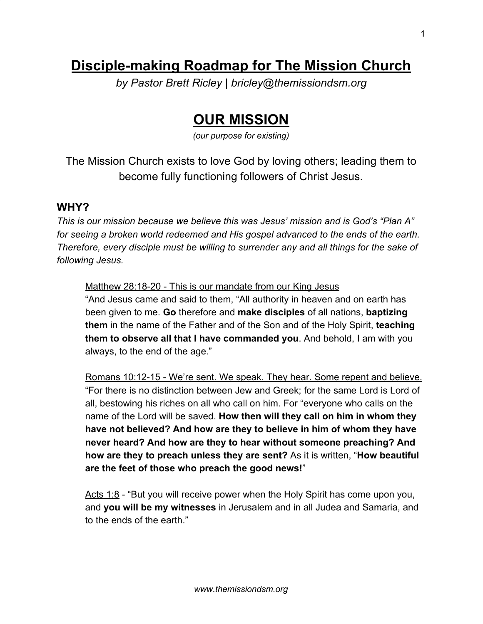# **Disciple-making Roadmap for The Mission Church**

*by Pastor Brett Ricley | bricley@themissiondsm.org*

# **OUR MISSION**

*(our purpose for existing)*

The Mission Church exists to love God by loving others; leading them to become fully functioning followers of Christ Jesus.

### **WHY?**

*This is our mission because we believe this was Jesus' mission and is God's "Plan A" for seeing a broken world redeemed and His gospel advanced to the ends of the earth. Therefore, every disciple must be willing to surrender any and all things for the sake of following Jesus.*

Matthew 28:18-20 - This is our mandate from our King Jesus

"And Jesus came and said to them, "All authority in heaven and on earth has been given to me. **Go** therefore and **make disciples** of all nations, **baptizing them** in the name of the Father and of the Son and of the Holy Spirit, **teaching them to observe all that I have commanded you**. And behold, I am with you always, to the end of the age."

Romans 10:12-15 - We're sent. We speak. They hear. Some repent and believe. "For there is no distinction between Jew and Greek; for the same Lord is Lord of all, bestowing his riches on all who call on him. For "everyone who calls on the name of the Lord will be saved. **How then will they call on him in whom they have not believed? And how are they to believe in him of whom they have never heard? And how are they to hear without someone preaching? And how are they to preach unless they are sent?** As it is written, "**How beautiful are the feet of those who preach the good news!**"

Acts 1:8 - "But you will receive power when the Holy Spirit has come upon you, and **you will be my witnesses** in Jerusalem and in all Judea and Samaria, and to the ends of the earth."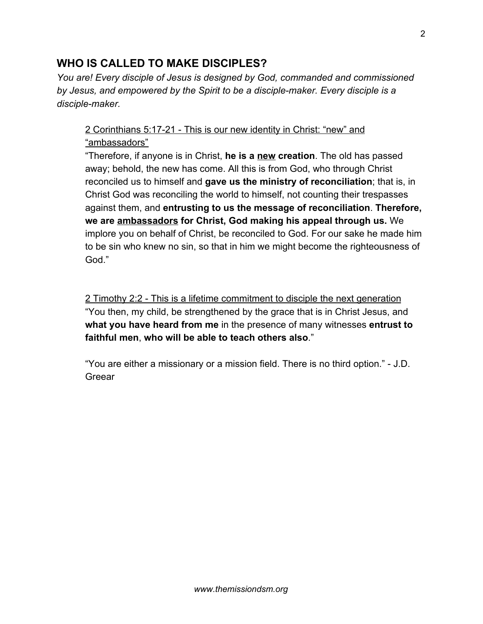## **WHO IS CALLED TO MAKE DISCIPLES?**

*You are! Every disciple of Jesus is designed by God, commanded and commissioned by Jesus, and empowered by the Spirit to be a disciple-maker. Every disciple is a disciple-maker.*

2 Corinthians 5:17-21 - This is our new identity in Christ: "new" and "ambassadors"

"Therefore, if anyone is in Christ, **he is a new creation**. The old has passed away; behold, the new has come. All this is from God, who through Christ reconciled us to himself and **gave us the ministry of reconciliation**; that is, in Christ God was reconciling the world to himself, not counting their trespasses against them, and **entrusting to us the message of reconciliation**. **Therefore, we are ambassadors for Christ, God making his appeal through us.** We implore you on behalf of Christ, be reconciled to God. For our sake he made him to be sin who knew no sin, so that in him we might become the righteousness of God."

2 Timothy 2:2 - This is a lifetime commitment to disciple the next generation "You then, my child, be strengthened by the grace that is in Christ Jesus, and **what you have heard from me** in the presence of many witnesses **entrust to faithful men**, **who will be able to teach others also**."

"You are either a missionary or a mission field. There is no third option." - J.D. **Greear**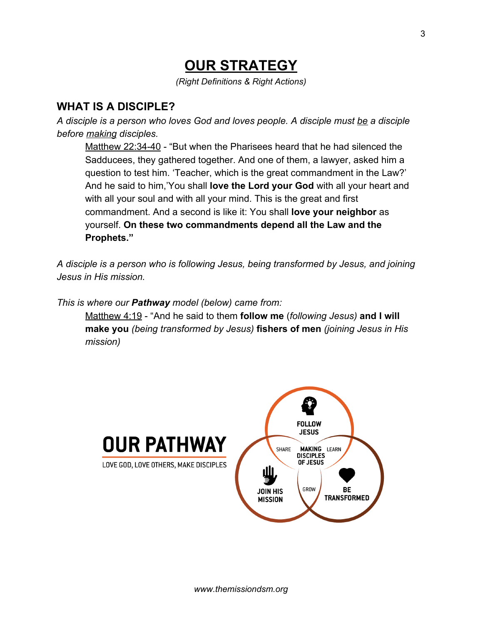# **OUR STRATEGY**

*(Right Definitions & Right Actions)*

## **WHAT IS A DISCIPLE?**

*A disciple is a person who loves God and loves people. A disciple must be a disciple before making disciples.*

Matthew 22:34-40 - "But when the Pharisees heard that he had silenced the Sadducees, they gathered together. And one of them, a lawyer, asked him a question to test him. 'Teacher, which is the great commandment in the Law?' And he said to him,'You shall **love the Lord your God** with all your heart and with all your soul and with all your mind. This is the great and first commandment. And a second is like it: You shall **love your neighbor** as yourself. **On these two commandments depend all the Law and the Prophets."**

*A disciple is a person who is following Jesus, being transformed by Jesus, and joining Jesus in His mission.*

*This is where our Pathway model (below) came from:*

Matthew 4:19 - "And he said to them **follow me** (*following Jesus)* **and I will make you** *(being transformed by Jesus)* **fishers of men** *(joining Jesus in His mission)*

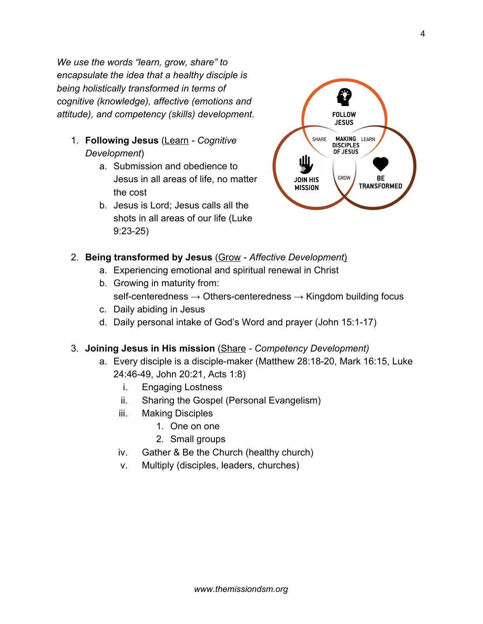*We use the words "learn, grow, share" to encapsulate the idea that a healthy disciple is being holistically transformed in terms of cognitive (knowledge), affective (emotions and attitude), and competency (skills) development.*

- 1. **Following Jesus** (Learn *Cognitive Development*)
	- a. Submission and obedience to Jesus in all areas of life, no matter the cost
	- b. Jesus is Lord; Jesus calls all the shots in all areas of our life (Luke 9:23-25)



- 2. **Being transformed by Jesus** (Grow *Affective Development*)
	- a. Experiencing emotional and spiritual renewal in Christ
	- b. Growing in maturity from: self-centeredness  $\rightarrow$  Others-centeredness  $\rightarrow$  Kingdom building focus
	- c. Daily abiding in Jesus
	- d. Daily personal intake of God's Word and prayer (John 15:1-17)
- 3. **Joining Jesus in His mission** (Share *Competency Development)*
	- a. Every disciple is a disciple-maker (Matthew 28:18-20, Mark 16:15, Luke 24:46-49, John 20:21, Acts 1:8)
		- i. Engaging Lostness
		- ii. Sharing the Gospel (Personal Evangelism)
		- iii. Making Disciples
			- 1. One on one
			- 2. Small groups
		- iv. Gather & Be the Church (healthy church)
		- v. Multiply (disciples, leaders, churches)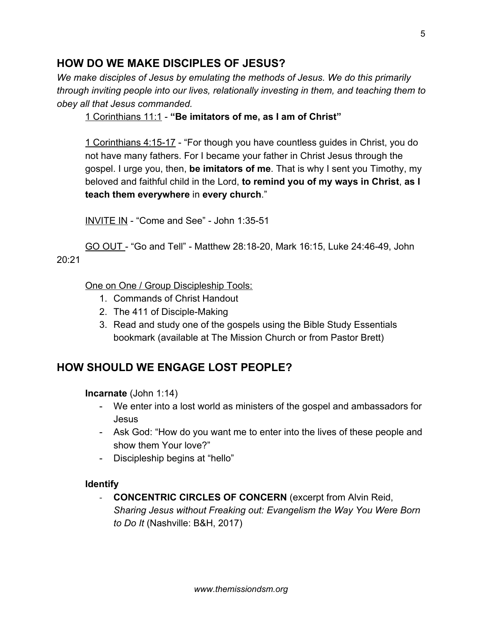## **HOW DO WE MAKE DISCIPLES OF JESUS?**

*We make disciples of Jesus by emulating the methods of Jesus. We do this primarily through inviting people into our lives, relationally investing in them, and teaching them to obey all that Jesus commanded.*

1 Corinthians 11:1 - **"Be imitators of me, as I am of Christ"**

1 Corinthians 4:15-17 - "For though you have countless guides in Christ, you do not have many fathers. For I became your father in Christ Jesus through the gospel. I urge you, then, **be imitators of me**. That is why I sent you Timothy, my beloved and faithful child in the Lord, **to remind you of my ways in Christ**, **as I teach them everywhere** in **every church**."

INVITE IN - "Come and See" - John 1:35-51

GO OUT - "Go and Tell" - Matthew 28:18-20, Mark 16:15, Luke 24:46-49, John 20:21

One on One / Group Discipleship Tools:

- 1. Commands of Christ Handout
- 2. The 411 of Disciple-Making
- 3. Read and study one of the gospels using the Bible Study Essentials bookmark (available at The Mission Church or from Pastor Brett)

## **HOW SHOULD WE ENGAGE LOST PEOPLE?**

**Incarnate** (John 1:14)

- We enter into a lost world as ministers of the gospel and ambassadors for Jesus
- Ask God: "How do you want me to enter into the lives of these people and show them Your love?"
- Discipleship begins at "hello"

## **Identify**

- **CONCENTRIC CIRCLES OF CONCERN** (excerpt from Alvin Reid, *Sharing Jesus without Freaking out: Evangelism the Way You Were Born to Do It* (Nashville: B&H, 2017)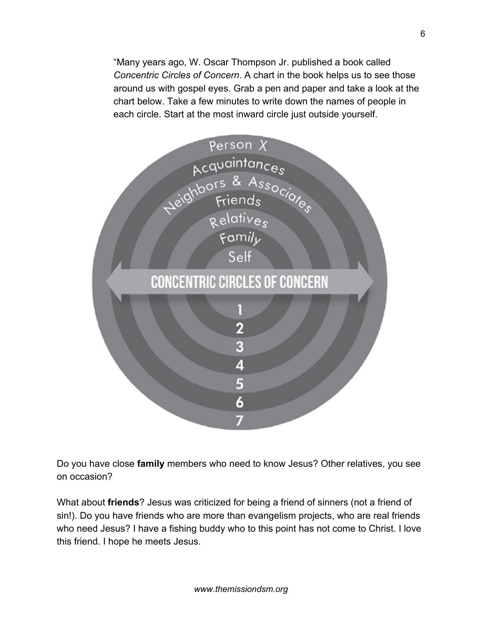"Many years ago, W. Oscar Thompson Jr. published a book called *Concentric Circles of Concern*. A chart in the book helps us to see those around us with gospel eyes. Grab a pen and paper and take a look at the chart below. Take a few minutes to write down the names of people in each circle. Start at the most inward circle just outside yourself.



Do you have close **family** members who need to know Jesus? Other relatives, you see on occasion?

What about **friends**? Jesus was criticized for being a friend of sinners (not a friend of sin!). Do you have friends who are more than evangelism projects, who are real friends who need Jesus? I have a fishing buddy who to this point has not come to Christ. I love this friend. I hope he meets Jesus.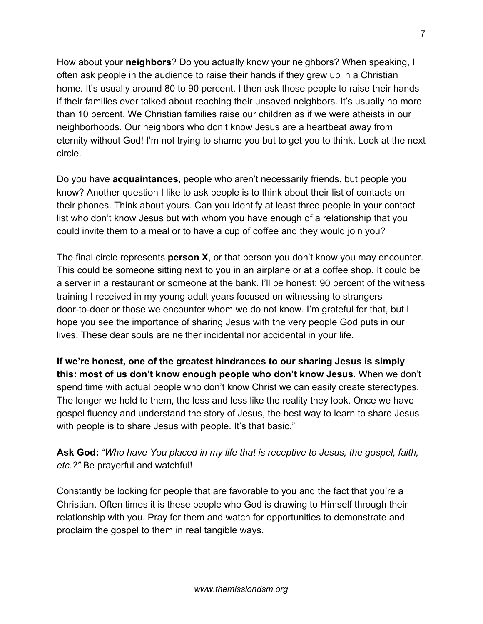How about your **neighbors**? Do you actually know your neighbors? When speaking, I often ask people in the audience to raise their hands if they grew up in a Christian home. It's usually around 80 to 90 percent. I then ask those people to raise their hands if their families ever talked about reaching their unsaved neighbors. It's usually no more than 10 percent. We Christian families raise our children as if we were atheists in our neighborhoods. Our neighbors who don't know Jesus are a heartbeat away from eternity without God! I'm not trying to shame you but to get you to think. Look at the next circle.

Do you have **acquaintances**, people who aren't necessarily friends, but people you know? Another question I like to ask people is to think about their list of contacts on their phones. Think about yours. Can you identify at least three people in your contact list who don't know Jesus but with whom you have enough of a relationship that you could invite them to a meal or to have a cup of coffee and they would join you?

The final circle represents **person X**, or that person you don't know you may encounter. This could be someone sitting next to you in an airplane or at a coffee shop. It could be a server in a restaurant or someone at the bank. I'll be honest: 90 percent of the witness training I received in my young adult years focused on witnessing to strangers door-to-door or those we encounter whom we do not know. I'm grateful for that, but I hope you see the importance of sharing Jesus with the very people God puts in our lives. These dear souls are neither incidental nor accidental in your life.

**If we're honest, one of the greatest hindrances to our sharing Jesus is simply this: most of us don't know enough people who don't know Jesus.** When we don't spend time with actual people who don't know Christ we can easily create stereotypes. The longer we hold to them, the less and less like the reality they look. Once we have gospel fluency and understand the story of Jesus, the best way to learn to share Jesus with people is to share Jesus with people. It's that basic."

**Ask God:** *"Who have You placed in my life that is receptive to Jesus, the gospel, faith, etc.?"* Be prayerful and watchful!

Constantly be looking for people that are favorable to you and the fact that you're a Christian. Often times it is these people who God is drawing to Himself through their relationship with you. Pray for them and watch for opportunities to demonstrate and proclaim the gospel to them in real tangible ways.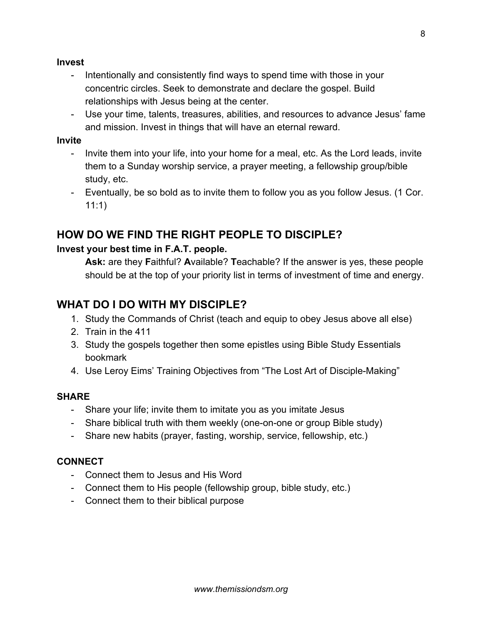#### **Invest**

- Intentionally and consistently find ways to spend time with those in your concentric circles. Seek to demonstrate and declare the gospel. Build relationships with Jesus being at the center.
- Use your time, talents, treasures, abilities, and resources to advance Jesus' fame and mission. Invest in things that will have an eternal reward.

#### **Invite**

- Invite them into your life, into your home for a meal, etc. As the Lord leads, invite them to a Sunday worship service, a prayer meeting, a fellowship group/bible study, etc.
- Eventually, be so bold as to invite them to follow you as you follow Jesus. (1 Cor. 11:1)

## **HOW DO WE FIND THE RIGHT PEOPLE TO DISCIPLE?**

### **Invest your best time in F.A.T. people.**

**Ask:** are they **F**aithful? **A**vailable? **T**eachable? If the answer is yes, these people should be at the top of your priority list in terms of investment of time and energy.

## **WHAT DO I DO WITH MY DISCIPLE?**

- 1. Study the Commands of Christ (teach and equip to obey Jesus above all else)
- 2. Train in the 411
- 3. Study the gospels together then some epistles using Bible Study Essentials bookmark
- 4. Use Leroy Eims' Training Objectives from "The Lost Art of Disciple-Making"

### **SHARE**

- Share your life; invite them to imitate you as you imitate Jesus
- Share biblical truth with them weekly (one-on-one or group Bible study)
- Share new habits (prayer, fasting, worship, service, fellowship, etc.)

## **CONNECT**

- Connect them to Jesus and His Word
- Connect them to His people (fellowship group, bible study, etc.)
- Connect them to their biblical purpose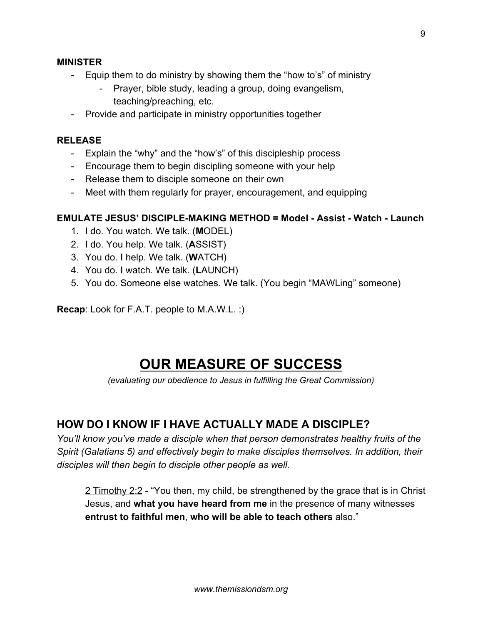#### **MINISTER**

- Equip them to do ministry by showing them the "how to's" of ministry
	- Prayer, bible study, leading a group, doing evangelism, teaching/preaching, etc.
- Provide and participate in ministry opportunities together

#### **RELEASE**

- Explain the "why" and the "how's" of this discipleship process
- Encourage them to begin discipling someone with your help
- Release them to disciple someone on their own
- Meet with them regularly for prayer, encouragement, and equipping

#### **EMULATE JESUS' DISCIPLE-MAKING METHOD = Model - Assist - Watch - Launch**

- 1. I do. You watch. We talk. (**M**ODEL)
- 2. I do. You help. We talk. (**A**SSIST)
- 3. You do. I help. We talk. (**W**ATCH)
- 4. You do. I watch. We talk. (**L**AUNCH)
- 5. You do. Someone else watches. We talk. (You begin "MAWLing" someone)

**Recap**: Look for F.A.T. people to M.A.W.L. :)

# **OUR MEASURE OF SUCCESS**

*(evaluating our obedience to Jesus in fulfilling the Great Commission)*

## **HOW DO I KNOW IF I HAVE ACTUALLY MADE A DISCIPLE?**

*You'll know you've made a disciple when that person demonstrates healthy fruits of the Spirit (Galatians 5) and effectively begin to make disciples themselves. In addition, their disciples will then begin to disciple other people as well.*

2 Timothy 2:2 - "You then, my child, be strengthened by the grace that is in Christ Jesus, and **what you have heard from me** in the presence of many witnesses **entrust to faithful men**, **who will be able to teach others** also."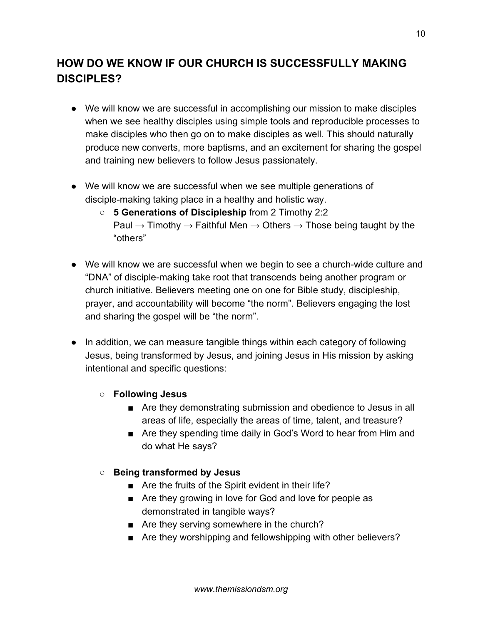## **HOW DO WE KNOW IF OUR CHURCH IS SUCCESSFULLY MAKING DISCIPLES?**

- We will know we are successful in accomplishing our mission to make disciples when we see healthy disciples using simple tools and reproducible processes to make disciples who then go on to make disciples as well. This should naturally produce new converts, more baptisms, and an excitement for sharing the gospel and training new believers to follow Jesus passionately.
- We will know we are successful when we see multiple generations of disciple-making taking place in a healthy and holistic way.
	- **5 Generations of Discipleship** from 2 Timothy 2:2 Paul  $\rightarrow$  Timothy  $\rightarrow$  Faithful Men  $\rightarrow$  Others  $\rightarrow$  Those being taught by the "others"
- We will know we are successful when we begin to see a church-wide culture and "DNA" of disciple-making take root that transcends being another program or church initiative. Believers meeting one on one for Bible study, discipleship, prayer, and accountability will become "the norm". Believers engaging the lost and sharing the gospel will be "the norm".
- In addition, we can measure tangible things within each category of following Jesus, being transformed by Jesus, and joining Jesus in His mission by asking intentional and specific questions:

### **○ Following Jesus**

- Are they demonstrating submission and obedience to Jesus in all areas of life, especially the areas of time, talent, and treasure?
- Are they spending time daily in God's Word to hear from Him and do what He says?

### **○ Being transformed by Jesus**

- Are the fruits of the Spirit evident in their life?
- Are they growing in love for God and love for people as demonstrated in tangible ways?
- Are they serving somewhere in the church?
- Are they worshipping and fellowshipping with other believers?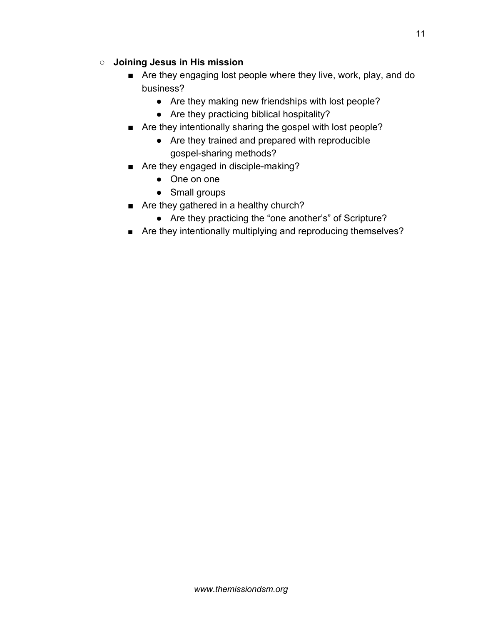- **○ Joining Jesus in His mission**
	- Are they engaging lost people where they live, work, play, and do business?
		- Are they making new friendships with lost people?
		- Are they practicing biblical hospitality?
	- Are they intentionally sharing the gospel with lost people?
		- Are they trained and prepared with reproducible gospel-sharing methods?
	- Are they engaged in disciple-making?
		- One on one
		- Small groups
	- Are they gathered in a healthy church?
		- Are they practicing the "one another's" of Scripture?
	- Are they intentionally multiplying and reproducing themselves?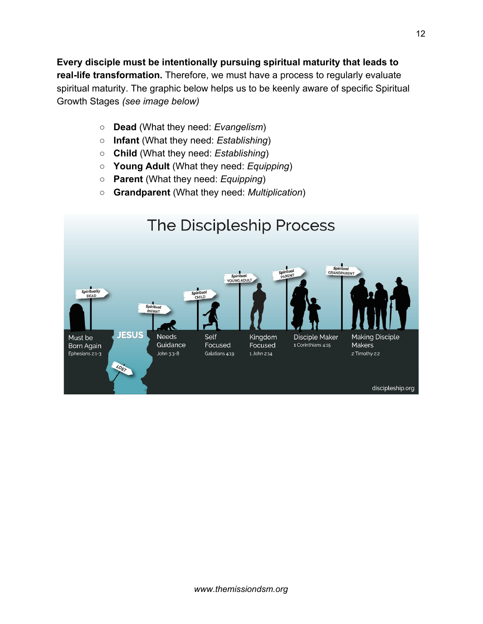**Every disciple must be intentionally pursuing spiritual maturity that leads to real-life transformation.** Therefore, we must have a process to regularly evaluate spiritual maturity. The graphic below helps us to be keenly aware of specific Spiritual Growth Stages *(see image below)*

- **Dead** (What they need: *Evangelism*)
- **Infant** (What they need: *Establishing*)
- **Child** (What they need: *Establishing*)
- **Young Adult** (What they need: *Equipping*)
- **Parent** (What they need: *Equipping*)
- **Grandparent** (What they need: *Multiplication*)